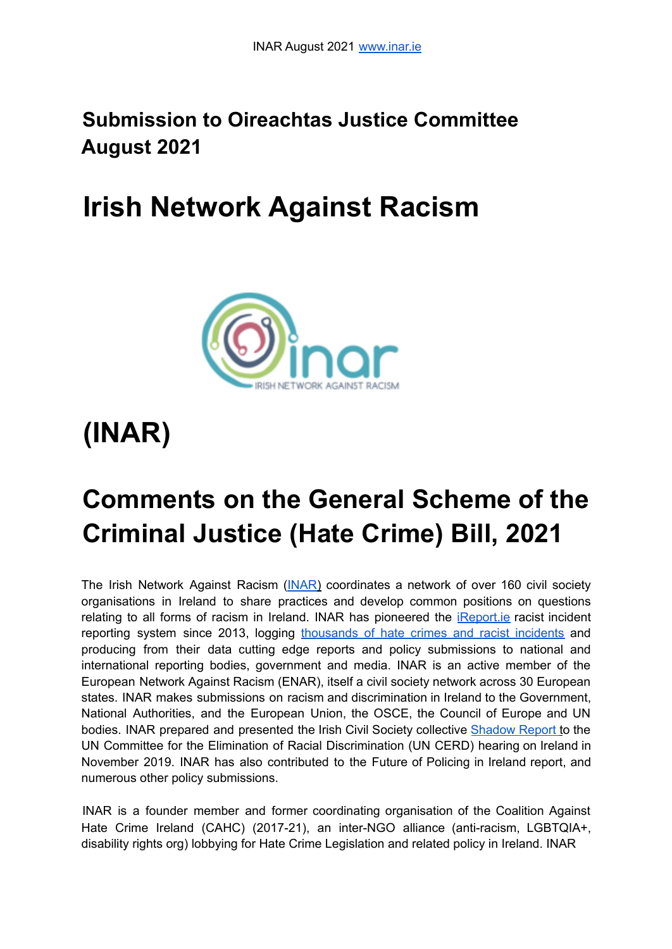# **Submission to Oireachtas Justice Committee August 2021**

# **Irish Network Against Racism**



# **(INAR)**

# **Comments on the General Scheme of the Criminal Justice (Hate Crime) Bill, 2021**

The Irish Network Against Racism (INAR) coordinates a network of over 160 civil society organisations in Ireland to share practices and develop common positions on questions relating to all forms of racism in Ireland. INAR has pioneered the *iReport.ie* racist incident reporting system since 2013, logging thousands of hate crimes and racist incidents and producing from their data cutting edge reports and policy submissions to national and international reporting bodies, government and media. INAR is an active member of the European Network Against Racism (ENAR), itself a civil society network across 30 European states. INAR makes submissions on racism and discrimination in Ireland to the Government, National Authorities, and the European Union, the OSCE, the Council of Europe and UN bodies. INAR prepared and presented the Irish Civil Society collective Shadow Report to the UN Committee for the Elimination of Racial Discrimination (UN CERD) hearing on Ireland in November 2019. INAR has also contributed to the Future of Policing in Ireland report, and numerous other policy submissions.

INAR is a founder member and former coordinating organisation of the Coalition Against Hate Crime Ireland (CAHC) (2017-21), an inter-NGO alliance (anti-racism, LGBTQIA+, disability rights org) lobbying for Hate Crime Legislation and related policy in Ireland. INAR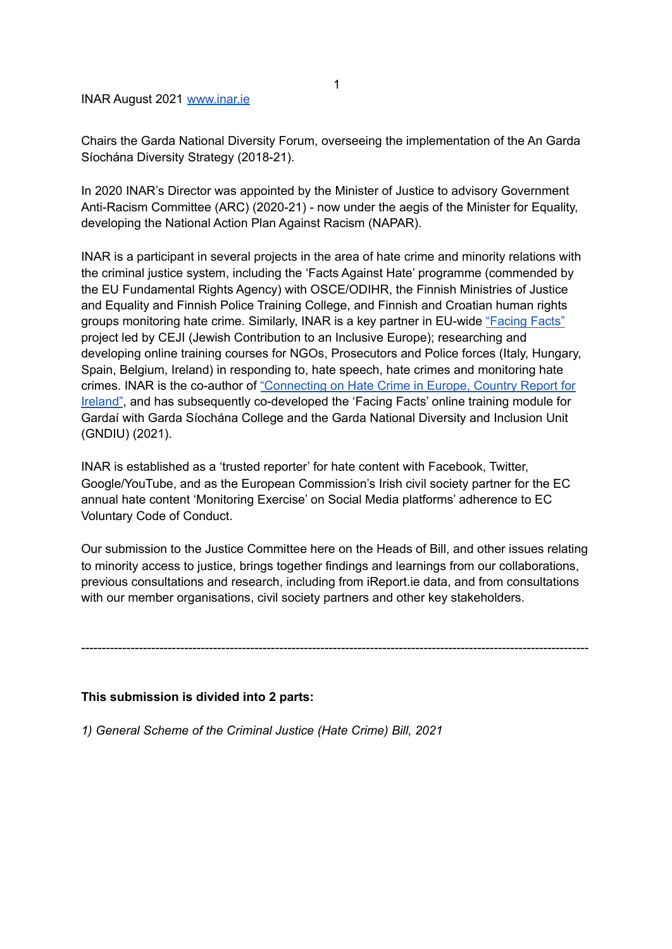INAR August 2021 www.inar.ie

Chairs the Garda National Diversity Forum, overseeing the implementation of the An Garda Síochána Diversity Strategy (2018-21).

In 2020 INAR's Director was appointed by the Minister of Justice to advisory Government Anti-Racism Committee (ARC) (2020-21) - now under the aegis of the Minister for Equality, developing the National Action Plan Against Racism (NAPAR).

INAR is a participant in several projects in the area of hate crime and minority relations with the criminal justice system, including the 'Facts Against Hate' programme (commended by the EU Fundamental Rights Agency) with OSCE/ODIHR, the Finnish Ministries of Justice and Equality and Finnish Police Training College, and Finnish and Croatian human rights groups monitoring hate crime. Similarly, INAR is a key partner in EU-wide "Facing Facts" project led by CEJI (Jewish Contribution to an Inclusive Europe); researching and developing online training courses for NGOs, Prosecutors and Police forces (Italy, Hungary, Spain, Belgium, Ireland) in responding to, hate speech, hate crimes and monitoring hate crimes. INAR is the co-author of "Connecting on Hate Crime in Europe, Country Report for Ireland", and has subsequently co-developed the 'Facing Facts' online training module for Gardaí with Garda Síochána College and the Garda National Diversity and Inclusion Unit (GNDIU) (2021).

INAR is established as a 'trusted reporter' for hate content with Facebook, Twitter, Google/YouTube, and as the European Commission's Irish civil society partner for the EC annual hate content 'Monitoring Exercise' on Social Media platforms' adherence to EC Voluntary Code of Conduct.

Our submission to the Justice Committee here on the Heads of Bill, and other issues relating to minority access to justice, brings together findings and learnings from our collaborations, previous consultations and research, including from iReport.ie data, and from consultations with our member organisations, civil society partners and other key stakeholders.

---------------------------------------------------------------------------------------------------------------------------

**This submission is divided into 2 parts:**

*1) General Scheme of the Criminal Justice (Hate Crime) Bill, 2021*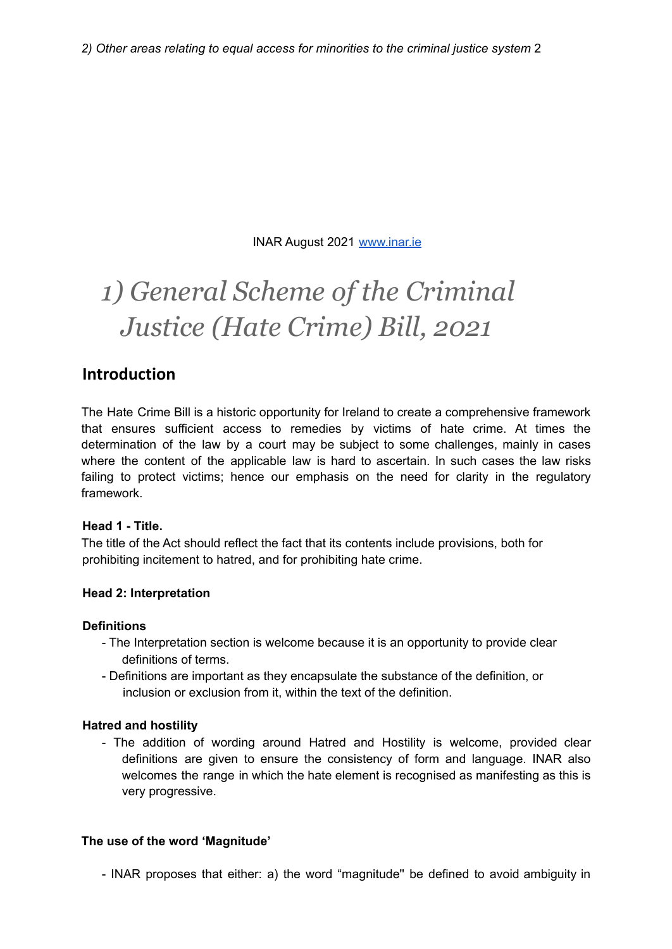INAR August 2021 www.inar.ie

# *1) General Scheme of the Criminal Justice (Hate Crime) Bill, 2021*

# **Introduction**

The Hate Crime Bill is a historic opportunity for Ireland to create a comprehensive framework that ensures sufficient access to remedies by victims of hate crime. At times the determination of the law by a court may be subject to some challenges, mainly in cases where the content of the applicable law is hard to ascertain. In such cases the law risks failing to protect victims; hence our emphasis on the need for clarity in the regulatory framework.

#### **Head 1 - Title.**

The title of the Act should reflect the fact that its contents include provisions, both for prohibiting incitement to hatred, and for prohibiting hate crime.

#### **Head 2: Interpretation**

#### **Definitions**

- The Interpretation section is welcome because it is an opportunity to provide clear definitions of terms.
- Definitions are important as they encapsulate the substance of the definition, or inclusion or exclusion from it, within the text of the definition.

# **Hatred and hostility**

- The addition of wording around Hatred and Hostility is welcome, provided clear definitions are given to ensure the consistency of form and language. INAR also welcomes the range in which the hate element is recognised as manifesting as this is very progressive.

# **The use of the word 'Magnitude'**

- INAR proposes that either: a) the word "magnitude'' be defined to avoid ambiguity in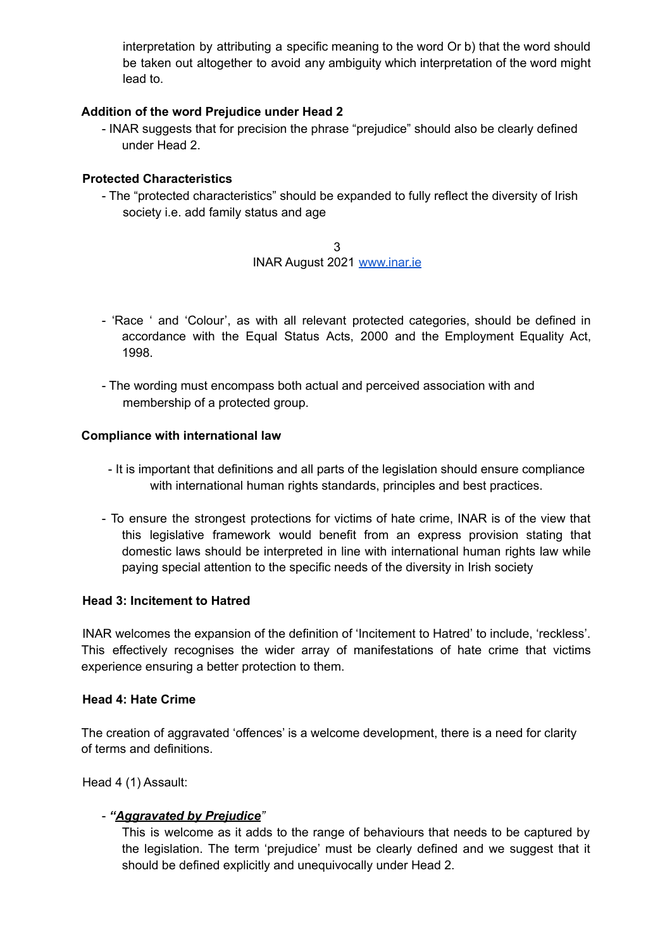interpretation by attributing a specific meaning to the word Or b) that the word should be taken out altogether to avoid any ambiguity which interpretation of the word might lead to.

#### **Addition of the word Prejudice under Head 2**

- INAR suggests that for precision the phrase "prejudice" should also be clearly defined under Head 2.

#### **Protected Characteristics**

- The "protected characteristics" should be expanded to fully reflect the diversity of Irish society i.e. add family status and age

> 3 INAR August 2021 www.inar.ie

- 'Race ' and 'Colour', as with all relevant protected categories, should be defined in accordance with the Equal Status Acts, 2000 and the Employment Equality Act, 1998.
- The wording must encompass both actual and perceived association with and membership of a protected group.

#### **Compliance with international law**

- It is important that definitions and all parts of the legislation should ensure compliance with international human rights standards, principles and best practices.
- To ensure the strongest protections for victims of hate crime, INAR is of the view that this legislative framework would benefit from an express provision stating that domestic laws should be interpreted in line with international human rights law while paying special attention to the specific needs of the diversity in Irish society

#### **Head 3: Incitement to Hatred**

INAR welcomes the expansion of the definition of 'Incitement to Hatred' to include, 'reckless'. This effectively recognises the wider array of manifestations of hate crime that victims experience ensuring a better protection to them.

#### **Head 4: Hate Crime**

The creation of aggravated 'offences' is a welcome development, there is a need for clarity of terms and definitions.

Head 4 (1) Assault:

#### - *"Aggravated by Prejudice"*

This is welcome as it adds to the range of behaviours that needs to be captured by the legislation. The term 'prejudice' must be clearly defined and we suggest that it should be defined explicitly and unequivocally under Head 2.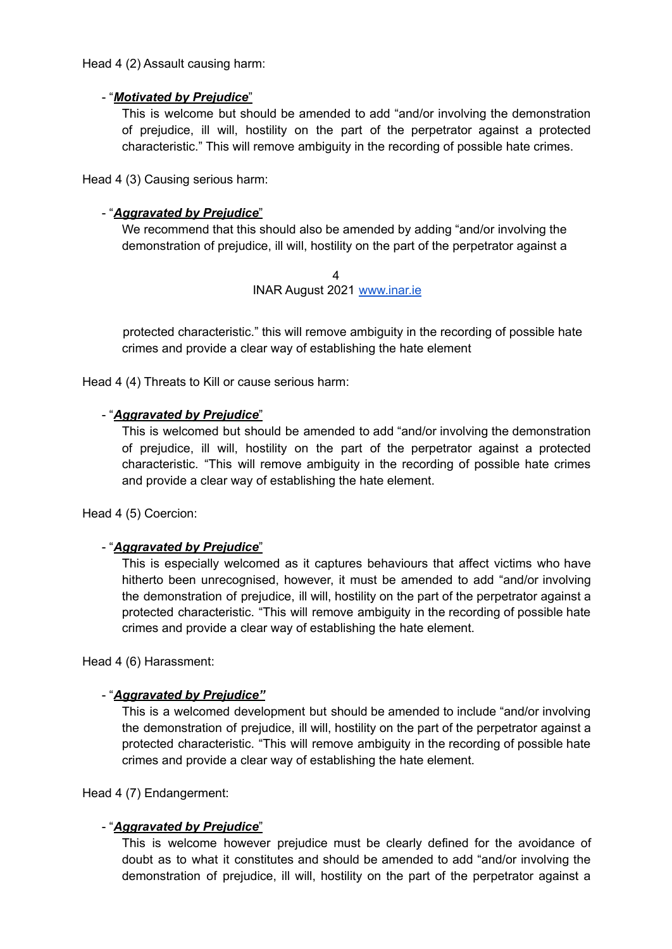Head 4 (2) Assault causing harm:

#### - "*Motivated by Prejudice*"

This is welcome but should be amended to add "and/or involving the demonstration of prejudice, ill will, hostility on the part of the perpetrator against a protected characteristic." This will remove ambiguity in the recording of possible hate crimes.

Head 4 (3) Causing serious harm:

# - "*Aggravated by Prejudice*"

We recommend that this should also be amended by adding "and/or involving the demonstration of prejudice, ill will, hostility on the part of the perpetrator against a

> 4 INAR August 2021 www.inar.ie

protected characteristic." this will remove ambiguity in the recording of possible hate crimes and provide a clear way of establishing the hate element

Head 4 (4) Threats to Kill or cause serious harm:

#### - "*Aggravated by Prejudice*"

This is welcomed but should be amended to add "and/or involving the demonstration of prejudice, ill will, hostility on the part of the perpetrator against a protected characteristic. "This will remove ambiguity in the recording of possible hate crimes and provide a clear way of establishing the hate element.

Head 4 (5) Coercion:

#### - "*Aggravated by Prejudice*"

This is especially welcomed as it captures behaviours that affect victims who have hitherto been unrecognised, however, it must be amended to add "and/or involving the demonstration of prejudice, ill will, hostility on the part of the perpetrator against a protected characteristic. "This will remove ambiguity in the recording of possible hate crimes and provide a clear way of establishing the hate element.

Head 4 (6) Harassment:

#### - "*Aggravated by Prejudice"*

This is a welcomed development but should be amended to include "and/or involving the demonstration of prejudice, ill will, hostility on the part of the perpetrator against a protected characteristic. "This will remove ambiguity in the recording of possible hate crimes and provide a clear way of establishing the hate element.

#### Head 4 (7) Endangerment:

#### - "*Aggravated by Prejudice*"

This is welcome however prejudice must be clearly defined for the avoidance of doubt as to what it constitutes and should be amended to add "and/or involving the demonstration of prejudice, ill will, hostility on the part of the perpetrator against a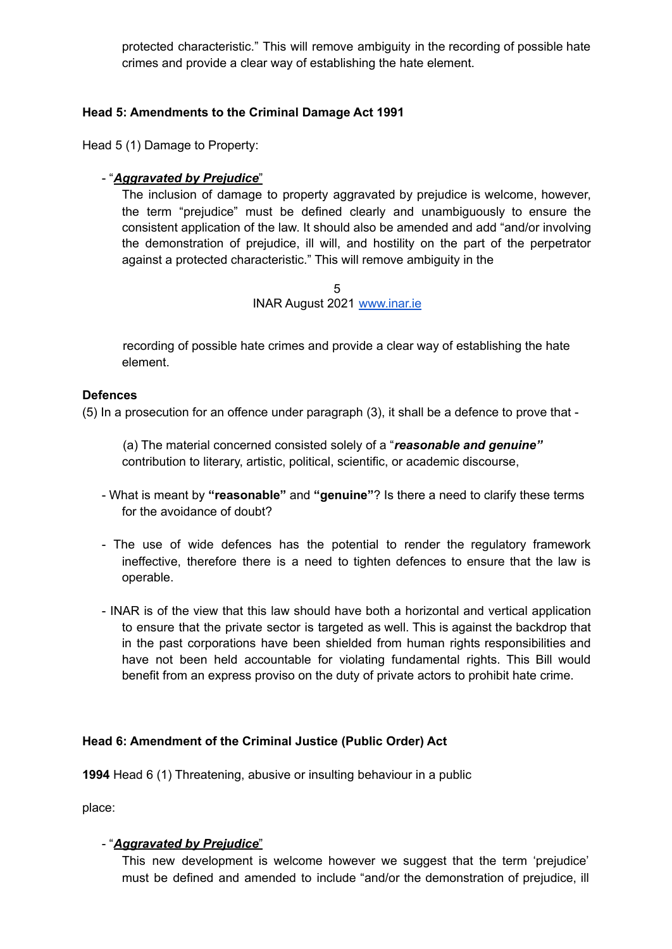protected characteristic." This will remove ambiguity in the recording of possible hate crimes and provide a clear way of establishing the hate element.

### **Head 5: Amendments to the Criminal Damage Act 1991**

Head 5 (1) Damage to Property:

### - "*Aggravated by Prejudice*"

The inclusion of damage to property aggravated by prejudice is welcome, however, the term "prejudice" must be defined clearly and unambiguously to ensure the consistent application of the law. It should also be amended and add "and/or involving the demonstration of prejudice, ill will, and hostility on the part of the perpetrator against a protected characteristic." This will remove ambiguity in the

> 5 INAR August 2021 www.inar.ie

recording of possible hate crimes and provide a clear way of establishing the hate element.

#### **Defences**

(5) In a prosecution for an offence under paragraph (3), it shall be a defence to prove that -

(a) The material concerned consisted solely of a "*reasonable and genuine"* contribution to literary, artistic, political, scientific, or academic discourse,

- What is meant by **"reasonable"** and **"genuine"**? Is there a need to clarify these terms for the avoidance of doubt?
- The use of wide defences has the potential to render the regulatory framework ineffective, therefore there is a need to tighten defences to ensure that the law is operable.
- INAR is of the view that this law should have both a horizontal and vertical application to ensure that the private sector is targeted as well. This is against the backdrop that in the past corporations have been shielded from human rights responsibilities and have not been held accountable for violating fundamental rights. This Bill would benefit from an express proviso on the duty of private actors to prohibit hate crime.

#### **Head 6: Amendment of the Criminal Justice (Public Order) Act**

**1994** Head 6 (1) Threatening, abusive or insulting behaviour in a public

place:

#### - "*Aggravated by Prejudice*"

This new development is welcome however we suggest that the term 'prejudice' must be defined and amended to include "and/or the demonstration of prejudice, ill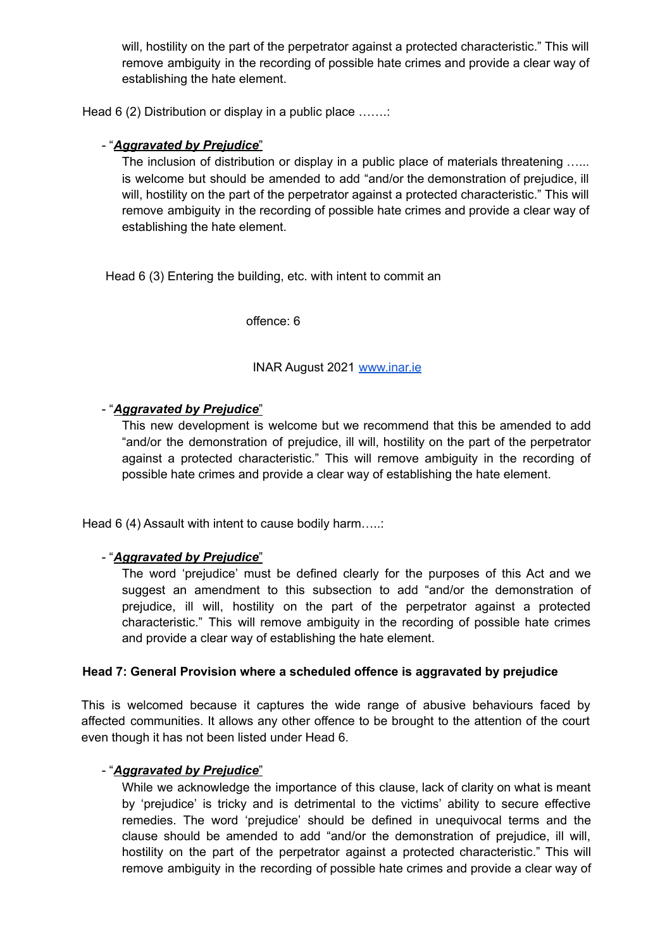will, hostility on the part of the perpetrator against a protected characteristic." This will remove ambiguity in the recording of possible hate crimes and provide a clear way of establishing the hate element.

Head 6 (2) Distribution or display in a public place .......

### - "*Aggravated by Prejudice*"

The inclusion of distribution or display in a public place of materials threatening ...... is welcome but should be amended to add "and/or the demonstration of prejudice, ill will, hostility on the part of the perpetrator against a protected characteristic." This will remove ambiguity in the recording of possible hate crimes and provide a clear way of establishing the hate element.

Head 6 (3) Entering the building, etc. with intent to commit an

offence: 6

#### INAR August 2021 www.inar.ie

#### - "*Aggravated by Prejudice*"

This new development is welcome but we recommend that this be amended to add "and/or the demonstration of prejudice, ill will, hostility on the part of the perpetrator against a protected characteristic." This will remove ambiguity in the recording of possible hate crimes and provide a clear way of establishing the hate element.

Head 6 (4) Assault with intent to cause bodily harm.....:

#### - "*Aggravated by Prejudice*"

The word 'prejudice' must be defined clearly for the purposes of this Act and we suggest an amendment to this subsection to add "and/or the demonstration of prejudice, ill will, hostility on the part of the perpetrator against a protected characteristic." This will remove ambiguity in the recording of possible hate crimes and provide a clear way of establishing the hate element.

#### **Head 7: General Provision where a scheduled offence is aggravated by prejudice**

This is welcomed because it captures the wide range of abusive behaviours faced by affected communities. It allows any other offence to be brought to the attention of the court even though it has not been listed under Head 6.

#### - "*Aggravated by Prejudice*"

While we acknowledge the importance of this clause, lack of clarity on what is meant by 'prejudice' is tricky and is detrimental to the victims' ability to secure effective remedies. The word 'prejudice' should be defined in unequivocal terms and the clause should be amended to add "and/or the demonstration of prejudice, ill will, hostility on the part of the perpetrator against a protected characteristic." This will remove ambiguity in the recording of possible hate crimes and provide a clear way of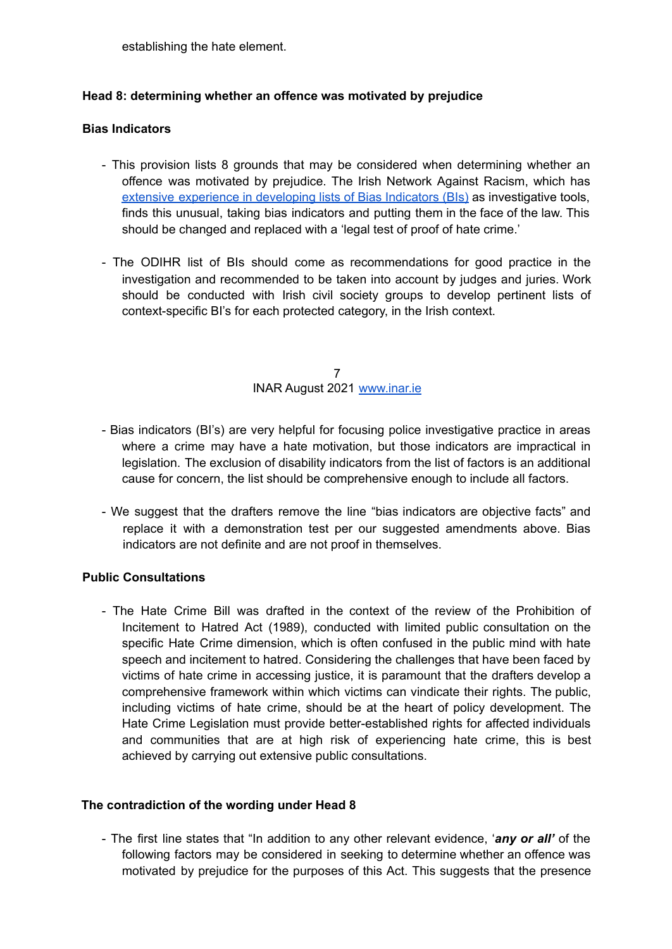establishing the hate element.

#### **Head 8: determining whether an offence was motivated by prejudice**

#### **Bias Indicators**

- This provision lists 8 grounds that may be considered when determining whether an offence was motivated by prejudice. The Irish Network Against Racism, which has extensive experience in developing lists of Bias Indicators (BIs) as investigative tools, finds this unusual, taking bias indicators and putting them in the face of the law. This should be changed and replaced with a 'legal test of proof of hate crime.'
- The ODIHR list of BIs should come as recommendations for good practice in the investigation and recommended to be taken into account by judges and juries. Work should be conducted with Irish civil society groups to develop pertinent lists of context-specific BI's for each protected category, in the Irish context.

7 INAR August 2021 www.inar.ie

- Bias indicators (BI's) are very helpful for focusing police investigative practice in areas where a crime may have a hate motivation, but those indicators are impractical in legislation. The exclusion of disability indicators from the list of factors is an additional cause for concern, the list should be comprehensive enough to include all factors.
- We suggest that the drafters remove the line "bias indicators are objective facts" and replace it with a demonstration test per our suggested amendments above. Bias indicators are not definite and are not proof in themselves.

#### **Public Consultations**

- The Hate Crime Bill was drafted in the context of the review of the Prohibition of Incitement to Hatred Act (1989), conducted with limited public consultation on the specific Hate Crime dimension, which is often confused in the public mind with hate speech and incitement to hatred. Considering the challenges that have been faced by victims of hate crime in accessing justice, it is paramount that the drafters develop a comprehensive framework within which victims can vindicate their rights. The public, including victims of hate crime, should be at the heart of policy development. The Hate Crime Legislation must provide better-established rights for affected individuals and communities that are at high risk of experiencing hate crime, this is best achieved by carrying out extensive public consultations.

#### **The contradiction of the wording under Head 8**

- The first line states that "In addition to any other relevant evidence, '*any or all'* of the following factors may be considered in seeking to determine whether an offence was motivated by prejudice for the purposes of this Act. This suggests that the presence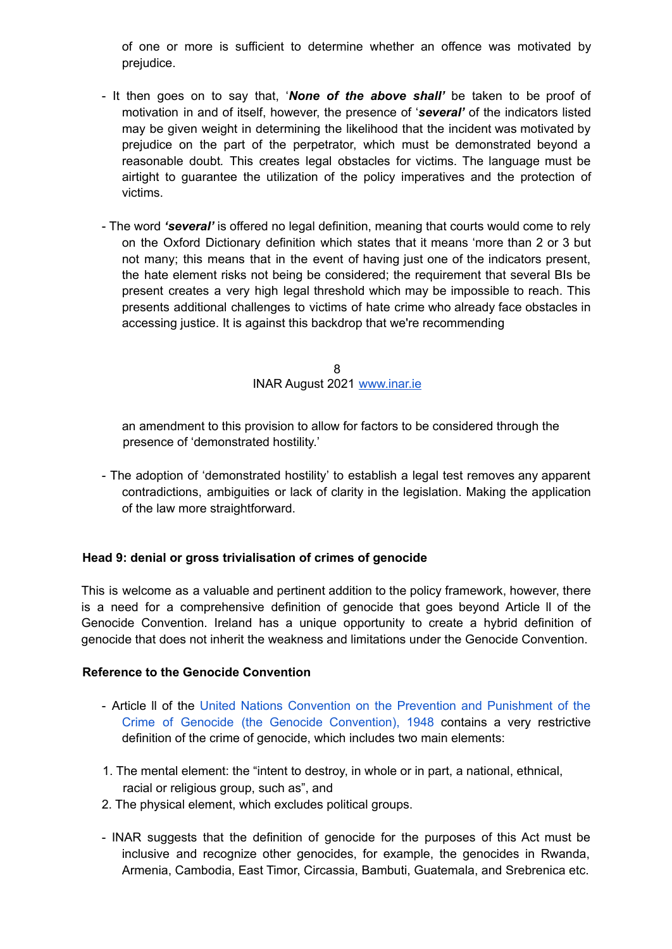of one or more is sufficient to determine whether an offence was motivated by prejudice.

- It then goes on to say that, '*None of the above shall'* be taken to be proof of motivation in and of itself, however, the presence of '*several'* of the indicators listed may be given weight in determining the likelihood that the incident was motivated by prejudice on the part of the perpetrator, which must be demonstrated beyond a reasonable doubt*.* This creates legal obstacles for victims. The language must be airtight to guarantee the utilization of the policy imperatives and the protection of victims.
- The word *'several'* is offered no legal definition, meaning that courts would come to rely on the Oxford Dictionary definition which states that it means 'more than 2 or 3 but not many; this means that in the event of having just one of the indicators present, the hate element risks not being be considered; the requirement that several BIs be present creates a very high legal threshold which may be impossible to reach. This presents additional challenges to victims of hate crime who already face obstacles in accessing justice. It is against this backdrop that we're recommending

8 INAR August 2021 www.inar.ie

an amendment to this provision to allow for factors to be considered through the presence of 'demonstrated hostility.'

- The adoption of 'demonstrated hostility' to establish a legal test removes any apparent contradictions, ambiguities or lack of clarity in the legislation. Making the application of the law more straightforward.

#### **Head 9: denial or gross trivialisation of crimes of genocide**

This is welcome as a valuable and pertinent addition to the policy framework, however, there is a need for a comprehensive definition of genocide that goes beyond Article ll of the Genocide Convention. Ireland has a unique opportunity to create a hybrid definition of genocide that does not inherit the weakness and limitations under the Genocide Convention.

#### **Reference to the Genocide Convention**

- Article ll of the United Nations Convention on the Prevention and Punishment of the Crime of Genocide (the Genocide Convention), 1948 contains a very restrictive definition of the crime of genocide, which includes two main elements:
- 1. The mental element: the "intent to destroy, in whole or in part, a national, ethnical, racial or religious group, such as", and
- 2. The physical element, which excludes political groups.
- INAR suggests that the definition of genocide for the purposes of this Act must be inclusive and recognize other genocides, for example, the genocides in Rwanda, Armenia, Cambodia, East Timor, Circassia, Bambuti, Guatemala, and Srebrenica etc.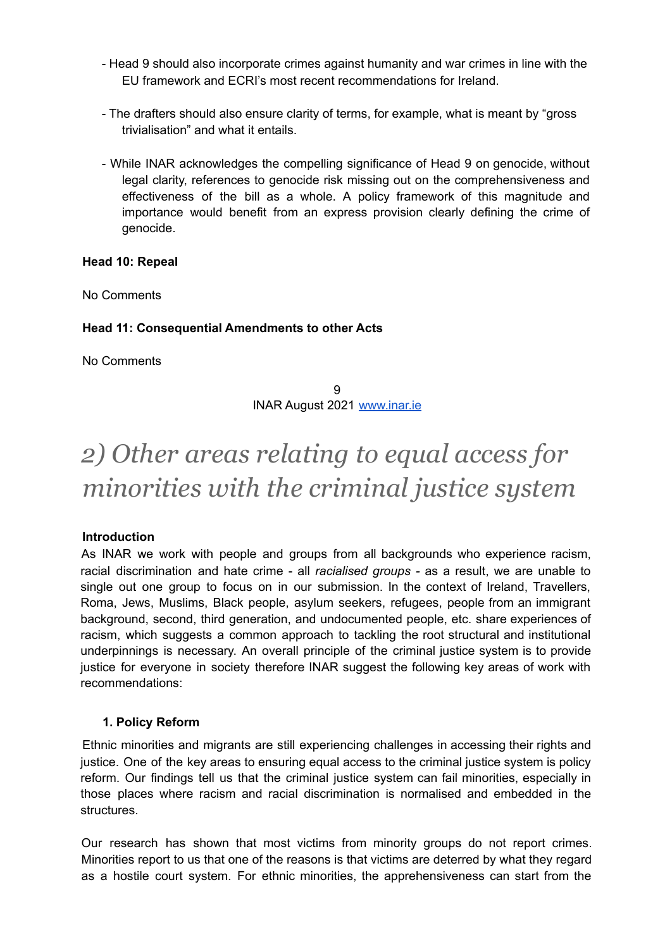- Head 9 should also incorporate crimes against humanity and war crimes in line with the EU framework and ECRI's most recent recommendations for Ireland.
- The drafters should also ensure clarity of terms, for example, what is meant by "gross trivialisation" and what it entails.
- While INAR acknowledges the compelling significance of Head 9 on genocide, without legal clarity, references to genocide risk missing out on the comprehensiveness and effectiveness of the bill as a whole. A policy framework of this magnitude and importance would benefit from an express provision clearly defining the crime of genocide.

#### **Head 10: Repeal**

No Comments

#### **Head 11: Consequential Amendments to other Acts**

No Comments

9 INAR August 2021 www.inar.ie

# *2) Other areas relating to equal access for minorities with the criminal justice system*

#### **Introduction**

As INAR we work with people and groups from all backgrounds who experience racism, racial discrimination and hate crime - all *racialised groups -* as a result, we are unable to single out one group to focus on in our submission. In the context of Ireland, Travellers, Roma, Jews, Muslims, Black people, asylum seekers, refugees, people from an immigrant background, second, third generation, and undocumented people, etc. share experiences of racism, which suggests a common approach to tackling the root structural and institutional underpinnings is necessary. An overall principle of the criminal justice system is to provide justice for everyone in society therefore INAR suggest the following key areas of work with recommendations:

#### **1. Policy Reform**

Ethnic minorities and migrants are still experiencing challenges in accessing their rights and justice. One of the key areas to ensuring equal access to the criminal justice system is policy reform. Our findings tell us that the criminal justice system can fail minorities, especially in those places where racism and racial discrimination is normalised and embedded in the structures.

Our research has shown that most victims from minority groups do not report crimes. Minorities report to us that one of the reasons is that victims are deterred by what they regard as a hostile court system. For ethnic minorities, the apprehensiveness can start from the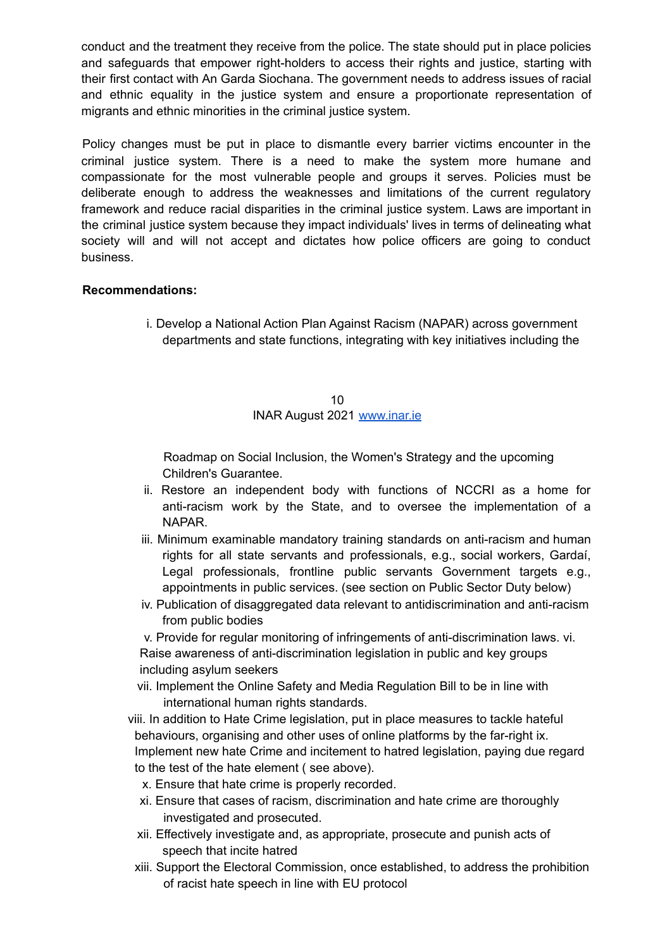conduct and the treatment they receive from the police. The state should put in place policies and safeguards that empower right-holders to access their rights and justice, starting with their first contact with An Garda Siochana. The government needs to address issues of racial and ethnic equality in the justice system and ensure a proportionate representation of migrants and ethnic minorities in the criminal justice system.

Policy changes must be put in place to dismantle every barrier victims encounter in the criminal justice system. There is a need to make the system more humane and compassionate for the most vulnerable people and groups it serves. Policies must be deliberate enough to address the weaknesses and limitations of the current regulatory framework and reduce racial disparities in the criminal justice system. Laws are important in the criminal justice system because they impact individuals' lives in terms of delineating what society will and will not accept and dictates how police officers are going to conduct business.

#### **Recommendations:**

i. Develop a National Action Plan Against Racism (NAPAR) across government departments and state functions, integrating with key initiatives including the

#### 10 INAR August 2021 www.inar.ie

Roadmap on Social Inclusion, the Women's Strategy and the upcoming Children's Guarantee.

- ii. Restore an independent body with functions of NCCRI as a home for anti-racism work by the State, and to oversee the implementation of a NAPAR.
- iii. Minimum examinable mandatory training standards on anti-racism and human rights for all state servants and professionals, e.g., social workers, Gardaí, Legal professionals, frontline public servants Government targets e.g., appointments in public services. (see section on Public Sector Duty below)
- iv. Publication of disaggregated data relevant to antidiscrimination and anti-racism from public bodies

v. Provide for regular monitoring of infringements of anti-discrimination laws. vi. Raise awareness of anti-discrimination legislation in public and key groups including asylum seekers

- vii. Implement the Online Safety and Media Regulation Bill to be in line with international human rights standards.
- viii. In addition to Hate Crime legislation, put in place measures to tackle hateful behaviours, organising and other uses of online platforms by the far-right ix. Implement new hate Crime and incitement to hatred legislation, paying due regard to the test of the hate element ( see above).
	- x. Ensure that hate crime is properly recorded.
	- xi. Ensure that cases of racism, discrimination and hate crime are thoroughly investigated and prosecuted.
	- xii. Effectively investigate and, as appropriate, prosecute and punish acts of speech that incite hatred
	- xiii. Support the Electoral Commission, once established, to address the prohibition of racist hate speech in line with EU protocol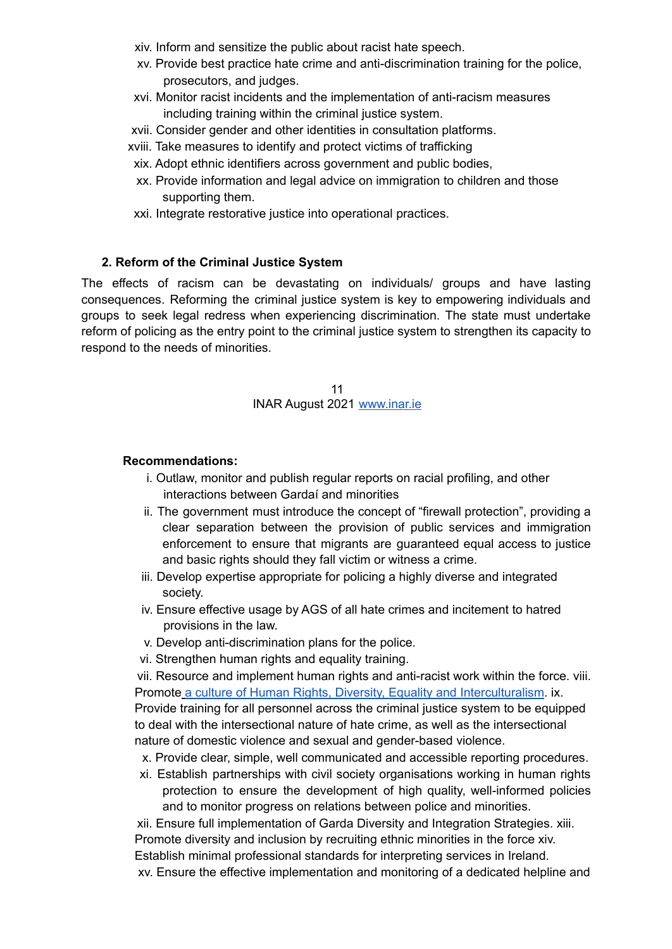- xiv. Inform and sensitize the public about racist hate speech.
- xv. Provide best practice hate crime and anti-discrimination training for the police, prosecutors, and judges.
- xvi. Monitor racist incidents and the implementation of anti-racism measures including training within the criminal justice system.
- xvii. Consider gender and other identities in consultation platforms.
- xviii. Take measures to identify and protect victims of trafficking
- xix. Adopt ethnic identifiers across government and public bodies,
- xx. Provide information and legal advice on immigration to children and those supporting them.
- xxi. Integrate restorative justice into operational practices.

#### **2. Reform of the Criminal Justice System**

The effects of racism can be devastating on individuals/ groups and have lasting consequences. Reforming the criminal justice system is key to empowering individuals and groups to seek legal redress when experiencing discrimination. The state must undertake reform of policing as the entry point to the criminal justice system to strengthen its capacity to respond to the needs of minorities.

> 11 INAR August 2021 www.inar.ie

#### **Recommendations:**

- i. Outlaw, monitor and publish regular reports on racial profiling, and other interactions between Gardaí and minorities
- ii. The government must introduce the concept of "firewall protection", providing a clear separation between the provision of public services and immigration enforcement to ensure that migrants are guaranteed equal access to justice and basic rights should they fall victim or witness a crime.
- iii. Develop expertise appropriate for policing a highly diverse and integrated society.
- iv. Ensure effective usage by AGS of all hate crimes and incitement to hatred provisions in the law.
- v. Develop anti-discrimination plans for the police.
- vi. Strengthen human rights and equality training.

vii. Resource and implement human rights and anti-racist work within the force. viii. Promote a culture of Human Rights, Diversity, Equality and Interculturalism. ix. Provide training for all personnel across the criminal justice system to be equipped to deal with the intersectional nature of hate crime, as well as the intersectional nature of domestic violence and sexual and gender-based violence.

- x. Provide clear, simple, well communicated and accessible reporting procedures.
- xi. Establish partnerships with civil society organisations working in human rights protection to ensure the development of high quality, well-informed policies and to monitor progress on relations between police and minorities.

xii. Ensure full implementation of Garda Diversity and Integration Strategies. xiii. Promote diversity and inclusion by recruiting ethnic minorities in the force xiv. Establish minimal professional standards for interpreting services in Ireland. xv. Ensure the effective implementation and monitoring of a dedicated helpline and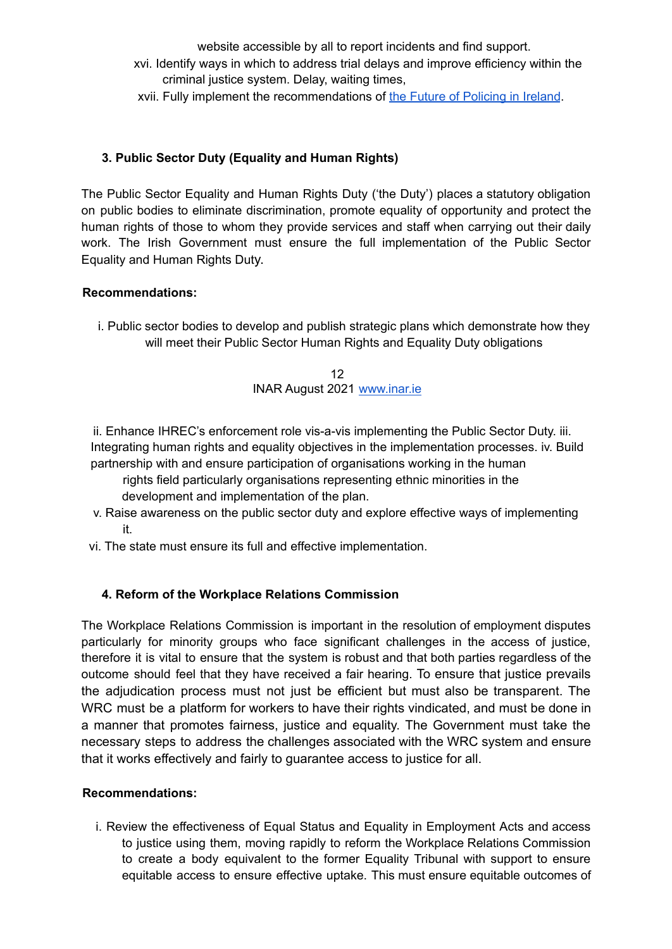website accessible by all to report incidents and find support.

xvi. Identify ways in which to address trial delays and improve efficiency within the criminal justice system. Delay, waiting times,

xvii. Fully implement the recommendations of the Future of Policing in Ireland.

### **3. Public Sector Duty (Equality and Human Rights)**

The Public Sector Equality and Human Rights Duty ('the Duty') places a statutory obligation on public bodies to eliminate discrimination, promote equality of opportunity and protect the human rights of those to whom they provide services and staff when carrying out their daily work. The Irish Government must ensure the full implementation of the Public Sector Equality and Human Rights Duty.

#### **Recommendations:**

i. Public sector bodies to develop and publish strategic plans which demonstrate how they will meet their Public Sector Human Rights and Equality Duty obligations

> 12 INAR August 2021 www.inar.ie

ii. Enhance IHREC's enforcement role vis-a-vis implementing the Public Sector Duty. iii. Integrating human rights and equality objectives in the implementation processes. iv. Build partnership with and ensure participation of organisations working in the human

rights field particularly organisations representing ethnic minorities in the development and implementation of the plan.

- v. Raise awareness on the public sector duty and explore effective ways of implementing it.
- vi. The state must ensure its full and effective implementation.

# **4. Reform of the Workplace Relations Commission**

The Workplace Relations Commission is important in the resolution of employment disputes particularly for minority groups who face significant challenges in the access of justice, therefore it is vital to ensure that the system is robust and that both parties regardless of the outcome should feel that they have received a fair hearing. To ensure that justice prevails the adjudication process must not just be efficient but must also be transparent. The WRC must be a platform for workers to have their rights vindicated, and must be done in a manner that promotes fairness, justice and equality. The Government must take the necessary steps to address the challenges associated with the WRC system and ensure that it works effectively and fairly to guarantee access to justice for all.

#### **Recommendations:**

i. Review the effectiveness of Equal Status and Equality in Employment Acts and access to justice using them, moving rapidly to reform the Workplace Relations Commission to create a body equivalent to the former Equality Tribunal with support to ensure equitable access to ensure effective uptake. This must ensure equitable outcomes of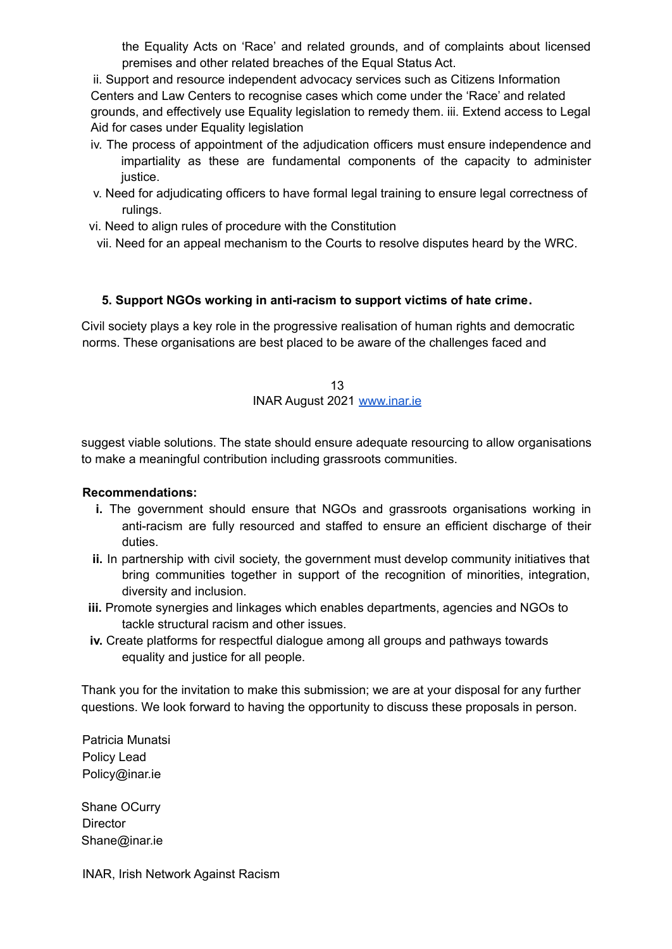the Equality Acts on 'Race' and related grounds, and of complaints about licensed premises and other related breaches of the Equal Status Act.

ii. Support and resource independent advocacy services such as Citizens Information Centers and Law Centers to recognise cases which come under the 'Race' and related grounds, and effectively use Equality legislation to remedy them. iii. Extend access to Legal Aid for cases under Equality legislation

- iv. The process of appointment of the adjudication officers must ensure independence and impartiality as these are fundamental components of the capacity to administer justice.
- v. Need for adjudicating officers to have formal legal training to ensure legal correctness of rulings.
- vi. Need to align rules of procedure with the Constitution
- vii. Need for an appeal mechanism to the Courts to resolve disputes heard by the WRC.

#### **5. Support NGOs working in anti-racism to support victims of hate crime**.

Civil society plays a key role in the progressive realisation of human rights and democratic norms. These organisations are best placed to be aware of the challenges faced and

> 13 INAR August 2021 www.inar.ie

suggest viable solutions. The state should ensure adequate resourcing to allow organisations to make a meaningful contribution including grassroots communities.

#### **Recommendations:**

- **i.** The government should ensure that NGOs and grassroots organisations working in anti-racism are fully resourced and staffed to ensure an efficient discharge of their duties.
- **ii.** In partnership with civil society, the government must develop community initiatives that bring communities together in support of the recognition of minorities, integration, diversity and inclusion.
- **iii.** Promote synergies and linkages which enables departments, agencies and NGOs to tackle structural racism and other issues.
- **iv.** Create platforms for respectful dialogue among all groups and pathways towards equality and justice for all people.

Thank you for the invitation to make this submission; we are at your disposal for any further questions. We look forward to having the opportunity to discuss these proposals in person.

Patricia Munatsi Policy Lead Policy@inar.ie

Shane OCurry **Director** Shane@inar.ie

INAR, Irish Network Against Racism